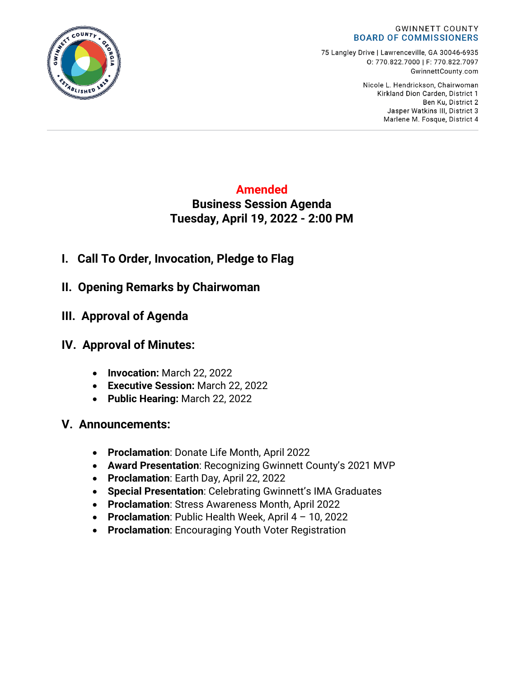#### **GWINNETT COUNTY BOARD OF COMMISSIONERS**

75 Langley Drive | Lawrenceville, GA 30046-6935 0:770.822.7000 | F: 770.822.7097 GwinnettCounty.com

> Nicole L. Hendrickson, Chairwoman Kirkland Dion Carden, District 1 Ben Ku. District 2 Jasper Watkins III, District 3 Marlene M. Fosque, District 4

## **Amended Business Session Agenda Tuesday, April 19, 2022 - 2:00 PM**

- **I. Call To Order, Invocation, Pledge to Flag**
- **II. Opening Remarks by Chairwoman**
- **III. Approval of Agenda**

# **IV. Approval of Minutes:**

- **Invocation:** March 22, 2022
- **Executive Session:** March 22, 2022
- **Public Hearing:** March 22, 2022

## **V. Announcements:**

- **Proclamation**: Donate Life Month, April 2022
- **Award Presentation**: Recognizing Gwinnett County's 2021 MVP
- **Proclamation**: Earth Day, April 22, 2022
- **Special Presentation**: Celebrating Gwinnett's IMA Graduates
- **Proclamation**: Stress Awareness Month, April 2022
- **Proclamation**: Public Health Week, April 4 10, 2022
- **Proclamation**: Encouraging Youth Voter Registration

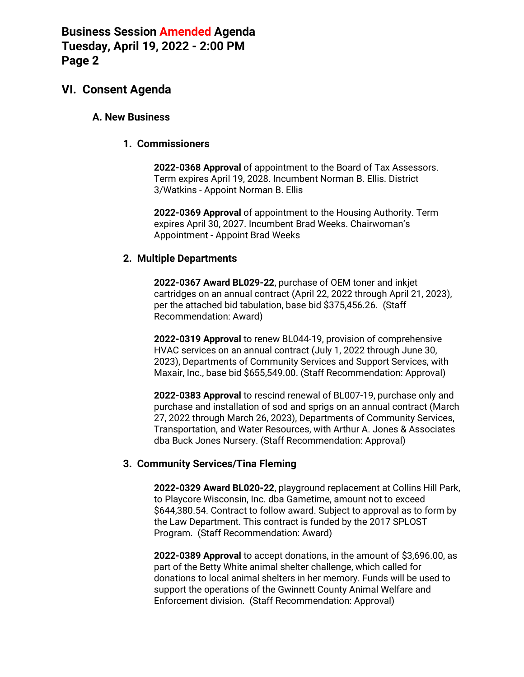### **VI. Consent Agenda**

#### **A. New Business**

#### **1. Commissioners**

**2022-0368 Approval** of appointment to the Board of Tax Assessors. Term expires April 19, 2028. Incumbent Norman B. Ellis. District 3/Watkins - Appoint Norman B. Ellis

**2022-0369 Approval** of appointment to the Housing Authority. Term expires April 30, 2027. Incumbent Brad Weeks. Chairwoman's Appointment - Appoint Brad Weeks

#### **2. Multiple Departments**

**2022-0367 Award BL029-22**, purchase of OEM toner and inkjet cartridges on an annual contract (April 22, 2022 through April 21, 2023), per the attached bid tabulation, base bid \$375,456.26. (Staff Recommendation: Award)

**2022-0319 Approval** to renew BL044-19, provision of comprehensive HVAC services on an annual contract (July 1, 2022 through June 30, 2023), Departments of Community Services and Support Services, with Maxair, Inc., base bid \$655,549.00. (Staff Recommendation: Approval)

**2022-0383 Approval** to rescind renewal of BL007-19, purchase only and purchase and installation of sod and sprigs on an annual contract (March 27, 2022 through March 26, 2023), Departments of Community Services, Transportation, and Water Resources, with Arthur A. Jones & Associates dba Buck Jones Nursery. (Staff Recommendation: Approval)

### **3. Community Services/Tina Fleming**

**2022-0329 Award BL020-22**, playground replacement at Collins Hill Park, to Playcore Wisconsin, Inc. dba Gametime, amount not to exceed \$644,380.54. Contract to follow award. Subject to approval as to form by the Law Department. This contract is funded by the 2017 SPLOST Program. (Staff Recommendation: Award)

**2022-0389 Approval** to accept donations, in the amount of \$3,696.00, as part of the Betty White animal shelter challenge, which called for donations to local animal shelters in her memory. Funds will be used to support the operations of the Gwinnett County Animal Welfare and Enforcement division. (Staff Recommendation: Approval)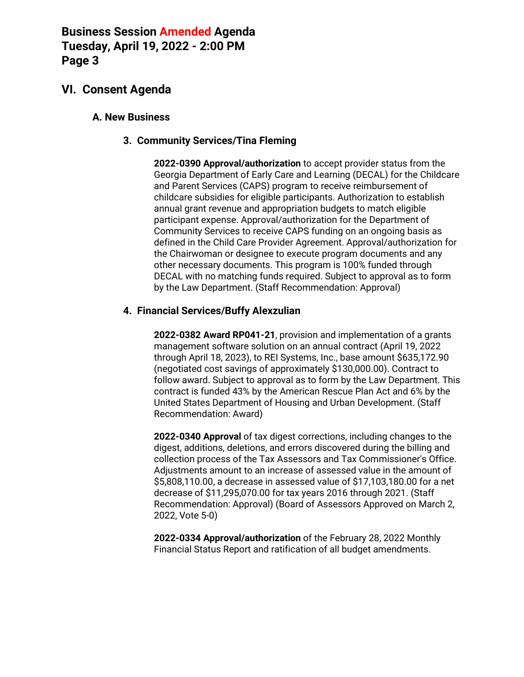### **VI. Consent Agenda**

#### **A. New Business**

#### **3. Community Services/Tina Fleming**

**2022-0390 Approval/authorization** to accept provider status from the Georgia Department of Early Care and Learning (DECAL) for the Childcare and Parent Services (CAPS) program to receive reimbursement of childcare subsidies for eligible participants. Authorization to establish annual grant revenue and appropriation budgets to match eligible participant expense. Approval/authorization for the Department of Community Services to receive CAPS funding on an ongoing basis as defined in the Child Care Provider Agreement. Approval/authorization for the Chairwoman or designee to execute program documents and any other necessary documents. This program is 100% funded through DECAL with no matching funds required. Subject to approval as to form by the Law Department. (Staff Recommendation: Approval)

#### **4. Financial Services/Buffy Alexzulian**

**2022-0382 Award RP041-21**, provision and implementation of a grants management software solution on an annual contract (April 19, 2022 through April 18, 2023), to REI Systems, Inc., base amount \$635,172.90 (negotiated cost savings of approximately \$130,000.00). Contract to follow award. Subject to approval as to form by the Law Department. This contract is funded 43% by the American Rescue Plan Act and 6% by the United States Department of Housing and Urban Development. (Staff Recommendation: Award)

**2022-0340 Approval** of tax digest corrections, including changes to the digest, additions, deletions, and errors discovered during the billing and collection process of the Tax Assessors and Tax Commissioner's Office. Adjustments amount to an increase of assessed value in the amount of \$5,808,110.00, a decrease in assessed value of \$17,103,180.00 for a net decrease of \$11,295,070.00 for tax years 2016 through 2021. (Staff Recommendation: Approval) (Board of Assessors Approved on March 2, 2022, Vote 5-0)

**2022-0334 Approval/authorization** of the February 28, 2022 Monthly Financial Status Report and ratification of all budget amendments.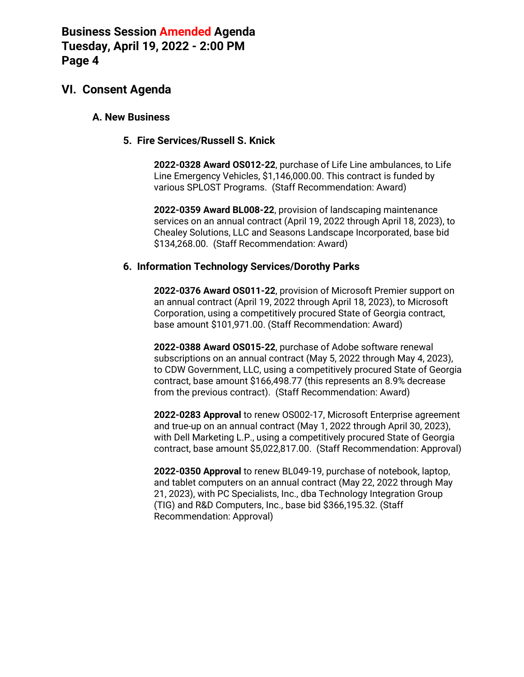### **VI. Consent Agenda**

#### **A. New Business**

#### **5. Fire Services/Russell S. Knick**

**2022-0328 Award OS012-22**, purchase of Life Line ambulances, to Life Line Emergency Vehicles, \$1,146,000.00. This contract is funded by various SPLOST Programs. (Staff Recommendation: Award)

**2022-0359 Award BL008-22**, provision of landscaping maintenance services on an annual contract (April 19, 2022 through April 18, 2023), to Chealey Solutions, LLC and Seasons Landscape Incorporated, base bid \$134,268.00. (Staff Recommendation: Award)

#### **6. Information Technology Services/Dorothy Parks**

**2022-0376 Award OS011-22**, provision of Microsoft Premier support on an annual contract (April 19, 2022 through April 18, 2023), to Microsoft Corporation, using a competitively procured State of Georgia contract, base amount \$101,971.00. (Staff Recommendation: Award)

**2022-0388 Award OS015-22**, purchase of Adobe software renewal subscriptions on an annual contract (May 5, 2022 through May 4, 2023), to CDW Government, LLC, using a competitively procured State of Georgia contract, base amount \$166,498.77 (this represents an 8.9% decrease from the previous contract). (Staff Recommendation: Award)

**2022-0283 Approval** to renew OS002-17, Microsoft Enterprise agreement and true-up on an annual contract (May 1, 2022 through April 30, 2023), with Dell Marketing L.P., using a competitively procured State of Georgia contract, base amount \$5,022,817.00. (Staff Recommendation: Approval)

**2022-0350 Approval** to renew BL049-19, purchase of notebook, laptop, and tablet computers on an annual contract (May 22, 2022 through May 21, 2023), with PC Specialists, Inc., dba Technology Integration Group (TIG) and R&D Computers, Inc., base bid \$366,195.32. (Staff Recommendation: Approval)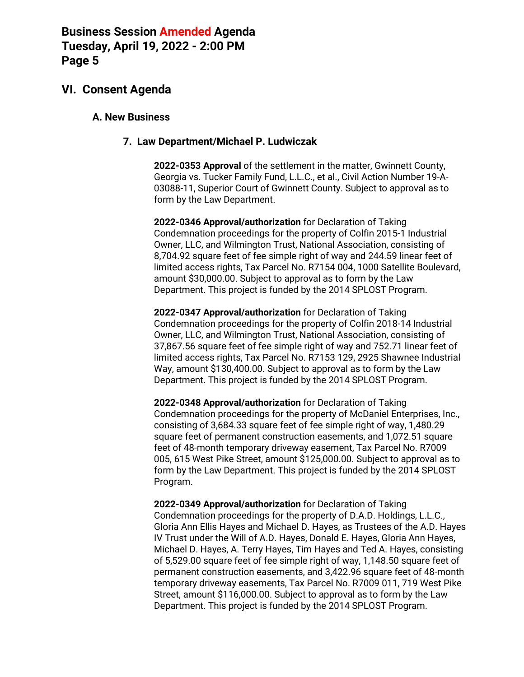### **VI. Consent Agenda**

#### **A. New Business**

#### **7. Law Department/Michael P. Ludwiczak**

**2022-0353 Approval** of the settlement in the matter, Gwinnett County, Georgia vs. Tucker Family Fund, L.L.C., et al., Civil Action Number 19-A-03088-11, Superior Court of Gwinnett County. Subject to approval as to form by the Law Department.

**2022-0346 Approval/authorization** for Declaration of Taking Condemnation proceedings for the property of Colfin 2015-1 Industrial Owner, LLC, and Wilmington Trust, National Association, consisting of 8,704.92 square feet of fee simple right of way and 244.59 linear feet of limited access rights, Tax Parcel No. R7154 004, 1000 Satellite Boulevard, amount \$30,000.00. Subject to approval as to form by the Law Department. This project is funded by the 2014 SPLOST Program.

**2022-0347 Approval/authorization** for Declaration of Taking Condemnation proceedings for the property of Colfin 2018-14 Industrial Owner, LLC, and Wilmington Trust, National Association, consisting of 37,867.56 square feet of fee simple right of way and 752.71 linear feet of limited access rights, Tax Parcel No. R7153 129, 2925 Shawnee Industrial Way, amount \$130,400.00. Subject to approval as to form by the Law Department. This project is funded by the 2014 SPLOST Program.

**2022-0348 Approval/authorization** for Declaration of Taking Condemnation proceedings for the property of McDaniel Enterprises, Inc., consisting of 3,684.33 square feet of fee simple right of way, 1,480.29 square feet of permanent construction easements, and 1,072.51 square feet of 48-month temporary driveway easement, Tax Parcel No. R7009 005, 615 West Pike Street, amount \$125,000.00. Subject to approval as to form by the Law Department. This project is funded by the 2014 SPLOST Program.

**2022-0349 Approval/authorization** for Declaration of Taking Condemnation proceedings for the property of D.A.D. Holdings, L.L.C., Gloria Ann Ellis Hayes and Michael D. Hayes, as Trustees of the A.D. Hayes IV Trust under the Will of A.D. Hayes, Donald E. Hayes, Gloria Ann Hayes, Michael D. Hayes, A. Terry Hayes, Tim Hayes and Ted A. Hayes, consisting of 5,529.00 square feet of fee simple right of way, 1,148.50 square feet of permanent construction easements, and 3,422.96 square feet of 48-month temporary driveway easements, Tax Parcel No. R7009 011, 719 West Pike Street, amount \$116,000.00. Subject to approval as to form by the Law Department. This project is funded by the 2014 SPLOST Program.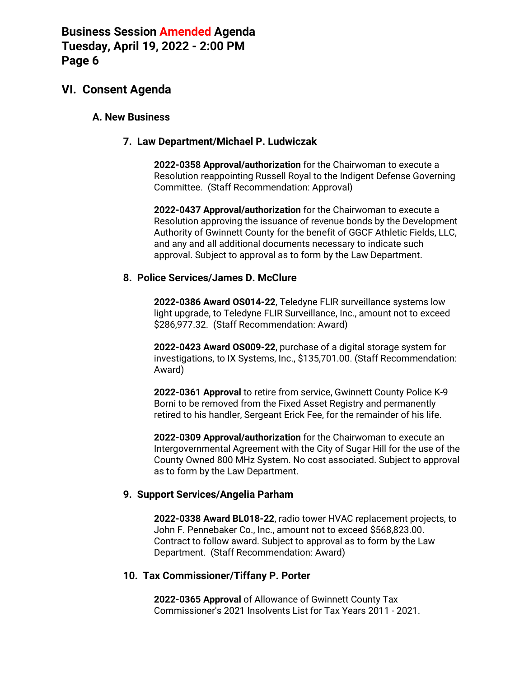### **VI. Consent Agenda**

#### **A. New Business**

#### **7. Law Department/Michael P. Ludwiczak**

**2022-0358 Approval/authorization** for the Chairwoman to execute a Resolution reappointing Russell Royal to the Indigent Defense Governing Committee. (Staff Recommendation: Approval)

**2022-0437 Approval/authorization** for the Chairwoman to execute a Resolution approving the issuance of revenue bonds by the Development Authority of Gwinnett County for the benefit of GGCF Athletic Fields, LLC, and any and all additional documents necessary to indicate such approval. Subject to approval as to form by the Law Department.

#### **8. Police Services/James D. McClure**

**2022-0386 Award OS014-22**, Teledyne FLIR surveillance systems low light upgrade, to Teledyne FLIR Surveillance, Inc., amount not to exceed \$286,977.32. (Staff Recommendation: Award)

**2022-0423 Award OS009-22**, purchase of a digital storage system for investigations, to IX Systems, Inc., \$135,701.00. (Staff Recommendation: Award)

**2022-0361 Approval** to retire from service, Gwinnett County Police K-9 Borni to be removed from the Fixed Asset Registry and permanently retired to his handler, Sergeant Erick Fee, for the remainder of his life.

**2022-0309 Approval/authorization** for the Chairwoman to execute an Intergovernmental Agreement with the City of Sugar Hill for the use of the County Owned 800 MHz System. No cost associated. Subject to approval as to form by the Law Department.

### **9. Support Services/Angelia Parham**

**2022-0338 Award BL018-22**, radio tower HVAC replacement projects, to John F. Pennebaker Co., Inc., amount not to exceed \$568,823.00. Contract to follow award. Subject to approval as to form by the Law Department. (Staff Recommendation: Award)

### **10. Tax Commissioner/Tiffany P. Porter**

**2022-0365 Approval** of Allowance of Gwinnett County Tax Commissioner's 2021 Insolvents List for Tax Years 2011 - 2021.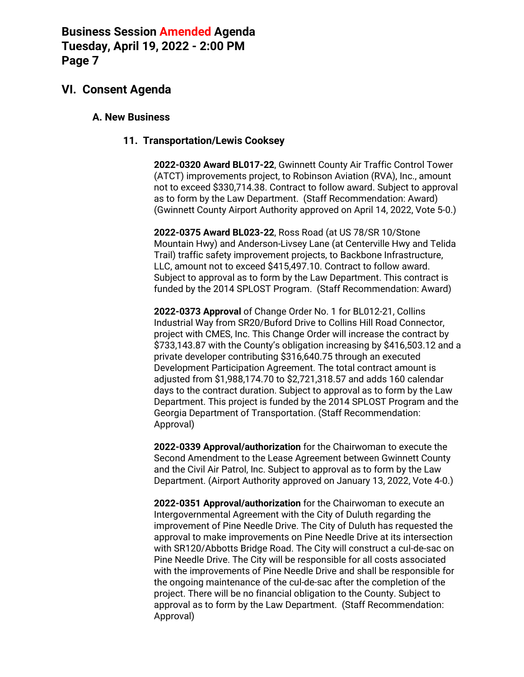### **VI. Consent Agenda**

#### **A. New Business**

#### **11. Transportation/Lewis Cooksey**

**2022-0320 Award BL017-22**, Gwinnett County Air Traffic Control Tower (ATCT) improvements project, to Robinson Aviation (RVA), Inc., amount not to exceed \$330,714.38. Contract to follow award. Subject to approval as to form by the Law Department. (Staff Recommendation: Award) (Gwinnett County Airport Authority approved on April 14, 2022, Vote 5-0.)

**2022-0375 Award BL023-22**, Ross Road (at US 78/SR 10/Stone Mountain Hwy) and Anderson-Livsey Lane (at Centerville Hwy and Telida Trail) traffic safety improvement projects, to Backbone Infrastructure, LLC, amount not to exceed \$415,497.10. Contract to follow award. Subject to approval as to form by the Law Department. This contract is funded by the 2014 SPLOST Program. (Staff Recommendation: Award)

**2022-0373 Approval** of Change Order No. 1 for BL012-21, Collins Industrial Way from SR20/Buford Drive to Collins Hill Road Connector, project with CMES, Inc. This Change Order will increase the contract by \$733,143.87 with the County's obligation increasing by \$416,503.12 and a private developer contributing \$316,640.75 through an executed Development Participation Agreement. The total contract amount is adjusted from \$1,988,174.70 to \$2,721,318.57 and adds 160 calendar days to the contract duration. Subject to approval as to form by the Law Department. This project is funded by the 2014 SPLOST Program and the Georgia Department of Transportation. (Staff Recommendation: Approval)

**2022-0339 Approval/authorization** for the Chairwoman to execute the Second Amendment to the Lease Agreement between Gwinnett County and the Civil Air Patrol, Inc. Subject to approval as to form by the Law Department. (Airport Authority approved on January 13, 2022, Vote 4-0.)

**2022-0351 Approval/authorization** for the Chairwoman to execute an Intergovernmental Agreement with the City of Duluth regarding the improvement of Pine Needle Drive. The City of Duluth has requested the approval to make improvements on Pine Needle Drive at its intersection with SR120/Abbotts Bridge Road. The City will construct a cul-de-sac on Pine Needle Drive. The City will be responsible for all costs associated with the improvements of Pine Needle Drive and shall be responsible for the ongoing maintenance of the cul-de-sac after the completion of the project. There will be no financial obligation to the County. Subject to approval as to form by the Law Department. (Staff Recommendation: Approval)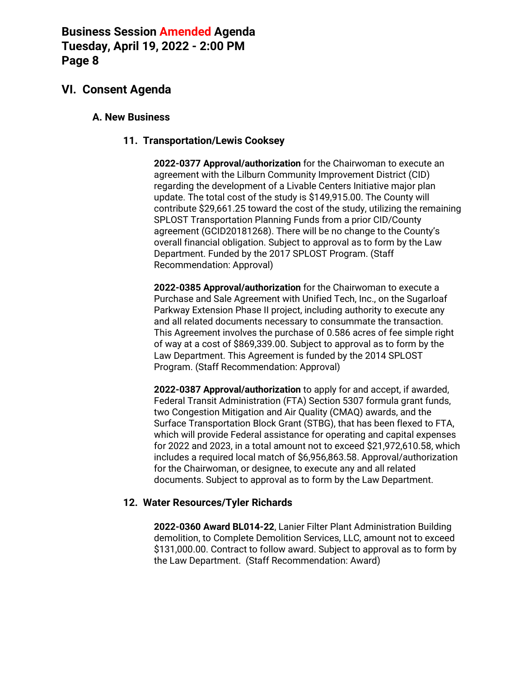### **VI. Consent Agenda**

#### **A. New Business**

#### **11. Transportation/Lewis Cooksey**

**2022-0377 Approval/authorization** for the Chairwoman to execute an agreement with the Lilburn Community Improvement District (CID) regarding the development of a Livable Centers Initiative major plan update. The total cost of the study is \$149,915.00. The County will contribute \$29,661.25 toward the cost of the study, utilizing the remaining SPLOST Transportation Planning Funds from a prior CID/County agreement (GCID20181268). There will be no change to the County's overall financial obligation. Subject to approval as to form by the Law Department. Funded by the 2017 SPLOST Program. (Staff Recommendation: Approval)

**2022-0385 Approval/authorization** for the Chairwoman to execute a Purchase and Sale Agreement with Unified Tech, Inc., on the Sugarloaf Parkway Extension Phase II project, including authority to execute any and all related documents necessary to consummate the transaction. This Agreement involves the purchase of 0.586 acres of fee simple right of way at a cost of \$869,339.00. Subject to approval as to form by the Law Department. This Agreement is funded by the 2014 SPLOST Program. (Staff Recommendation: Approval)

**2022-0387 Approval/authorization** to apply for and accept, if awarded, Federal Transit Administration (FTA) Section 5307 formula grant funds, two Congestion Mitigation and Air Quality (CMAQ) awards, and the Surface Transportation Block Grant (STBG), that has been flexed to FTA, which will provide Federal assistance for operating and capital expenses for 2022 and 2023, in a total amount not to exceed \$21,972,610.58, which includes a required local match of \$6,956,863.58. Approval/authorization for the Chairwoman, or designee, to execute any and all related documents. Subject to approval as to form by the Law Department.

#### **12. Water Resources/Tyler Richards**

**2022-0360 Award BL014-22**, Lanier Filter Plant Administration Building demolition, to Complete Demolition Services, LLC, amount not to exceed \$131,000.00. Contract to follow award. Subject to approval as to form by the Law Department. (Staff Recommendation: Award)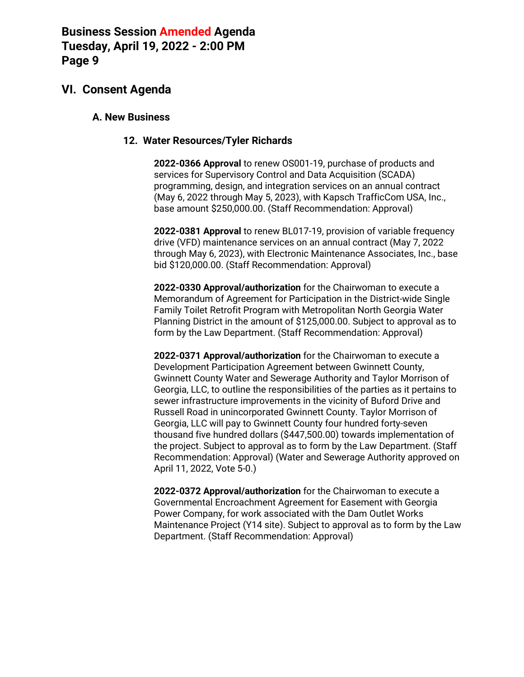### **VI. Consent Agenda**

#### **A. New Business**

#### **12. Water Resources/Tyler Richards**

**2022-0366 Approval** to renew OS001-19, purchase of products and services for Supervisory Control and Data Acquisition (SCADA) programming, design, and integration services on an annual contract (May 6, 2022 through May 5, 2023), with Kapsch TrafficCom USA, Inc., base amount \$250,000.00. (Staff Recommendation: Approval)

**2022-0381 Approval** to renew BL017-19, provision of variable frequency drive (VFD) maintenance services on an annual contract (May 7, 2022 through May 6, 2023), with Electronic Maintenance Associates, Inc., base bid \$120,000.00. (Staff Recommendation: Approval)

**2022-0330 Approval/authorization** for the Chairwoman to execute a Memorandum of Agreement for Participation in the District-wide Single Family Toilet Retrofit Program with Metropolitan North Georgia Water Planning District in the amount of \$125,000.00. Subject to approval as to form by the Law Department. (Staff Recommendation: Approval)

**2022-0371 Approval/authorization** for the Chairwoman to execute a Development Participation Agreement between Gwinnett County, Gwinnett County Water and Sewerage Authority and Taylor Morrison of Georgia, LLC, to outline the responsibilities of the parties as it pertains to sewer infrastructure improvements in the vicinity of Buford Drive and Russell Road in unincorporated Gwinnett County. Taylor Morrison of Georgia, LLC will pay to Gwinnett County four hundred forty-seven thousand five hundred dollars (\$447,500.00) towards implementation of the project. Subject to approval as to form by the Law Department. (Staff Recommendation: Approval) (Water and Sewerage Authority approved on April 11, 2022, Vote 5-0.)

**2022-0372 Approval/authorization** for the Chairwoman to execute a Governmental Encroachment Agreement for Easement with Georgia Power Company, for work associated with the Dam Outlet Works Maintenance Project (Y14 site). Subject to approval as to form by the Law Department. (Staff Recommendation: Approval)